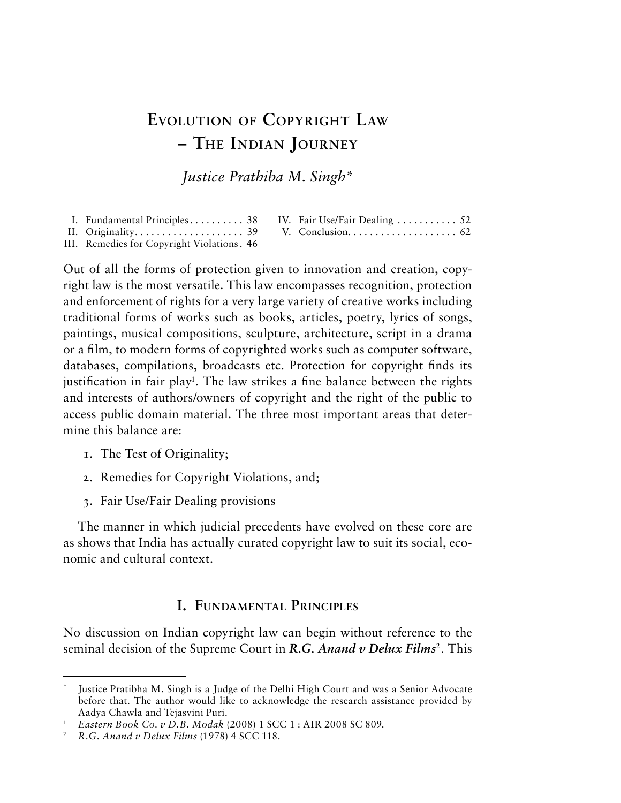# **Evolution of Copyright Law – The Indian Journey**

*Justice Prathiba M. Singh\**

| I. Fundamental Principles 38 IV. Fair Use/Fair Dealing  52 |  |  |
|------------------------------------------------------------|--|--|
|                                                            |  |  |
| III. Remedies for Copyright Violations. 46                 |  |  |

Out of all the forms of protection given to innovation and creation, copyright law is the most versatile. This law encompasses recognition, protection and enforcement of rights for a very large variety of creative works including traditional forms of works such as books, articles, poetry, lyrics of songs, paintings, musical compositions, sculpture, architecture, script in a drama or a film, to modern forms of copyrighted works such as computer software, databases, compilations, broadcasts etc. Protection for copyright finds its justification in fair play<sup>1</sup>. The law strikes a fine balance between the rights and interests of authors/owners of copyright and the right of the public to access public domain material. The three most important areas that determine this balance are:

- 1. The Test of Originality;
- 2. Remedies for Copyright Violations, and;
- 3. Fair Use/Fair Dealing provisions

The manner in which judicial precedents have evolved on these core are as shows that India has actually curated copyright law to suit its social, economic and cultural context.

## **I. Fundamental Principles**

No discussion on Indian copyright law can begin without reference to the seminal decision of the Supreme Court in *R.G. Anand v Delux Films<sup>2</sup>*. This

Justice Pratibha M. Singh is a Judge of the Delhi High Court and was a Senior Advocate before that. The author would like to acknowledge the research assistance provided by Aadya Chawla and Tejasvini Puri.

<sup>1</sup> *Eastern Book Co. v D.B. Modak* (2008) 1 SCC 1 : AIR 2008 SC 809.

<sup>2</sup> *R.G. Anand v Delux Films* (1978) 4 SCC 118.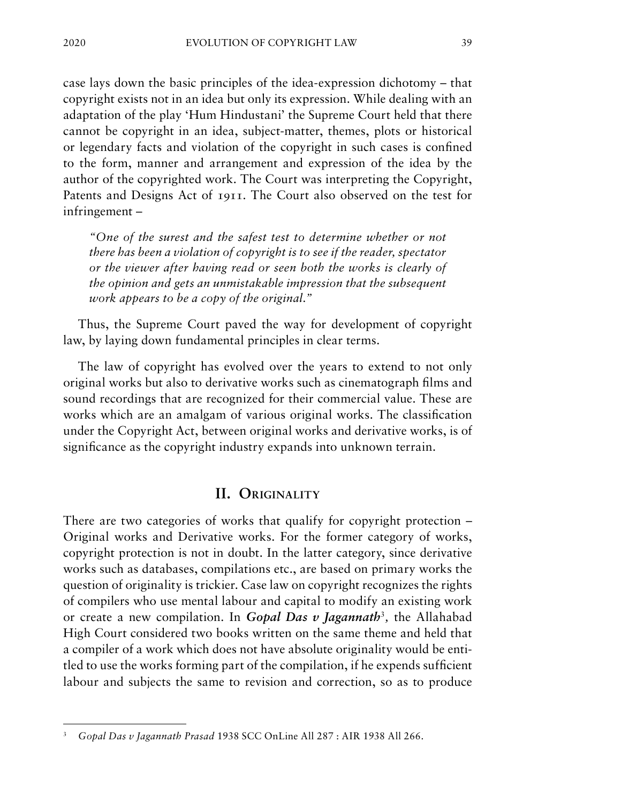case lays down the basic principles of the idea-expression dichotomy – that copyright exists not in an idea but only its expression. While dealing with an adaptation of the play 'Hum Hindustani' the Supreme Court held that there cannot be copyright in an idea, subject-matter, themes, plots or historical or legendary facts and violation of the copyright in such cases is confined to the form, manner and arrangement and expression of the idea by the author of the copyrighted work. The Court was interpreting the Copyright, Patents and Designs Act of 1911. The Court also observed on the test for infringement –

*"One of the surest and the safest test to determine whether or not there has been a violation of copyright is to see if the reader, spectator or the viewer after having read or seen both the works is clearly of the opinion and gets an unmistakable impression that the subsequent work appears to be a copy of the original."*

Thus, the Supreme Court paved the way for development of copyright law, by laying down fundamental principles in clear terms.

The law of copyright has evolved over the years to extend to not only original works but also to derivative works such as cinematograph films and sound recordings that are recognized for their commercial value. These are works which are an amalgam of various original works. The classification under the Copyright Act, between original works and derivative works, is of significance as the copyright industry expands into unknown terrain.

#### **II. Originality**

There are two categories of works that qualify for copyright protection – Original works and Derivative works. For the former category of works, copyright protection is not in doubt. In the latter category, since derivative works such as databases, compilations etc., are based on primary works the question of originality is trickier. Case law on copyright recognizes the rights of compilers who use mental labour and capital to modify an existing work or create a new compilation. In *Gopal Das v Jagannath*<sup>3</sup>*,* the Allahabad High Court considered two books written on the same theme and held that a compiler of a work which does not have absolute originality would be entitled to use the works forming part of the compilation, if he expends sufficient labour and subjects the same to revision and correction, so as to produce

<sup>3</sup> *Gopal Das v Jagannath Prasad* 1938 SCC OnLine All 287 : AIR 1938 All 266.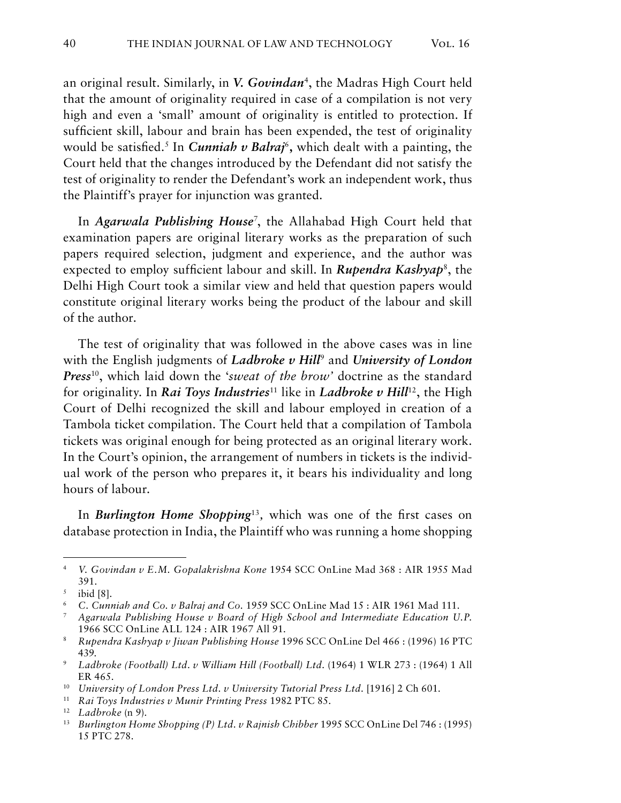an original result. Similarly, in *V. Govindan*4, the Madras High Court held that the amount of originality required in case of a compilation is not very high and even a 'small' amount of originality is entitled to protection. If sufficient skill, labour and brain has been expended, the test of originality would be satisfied.<sup>5</sup> In *Cunniah v Balraj*<sup>6</sup>, which dealt with a painting, the Court held that the changes introduced by the Defendant did not satisfy the test of originality to render the Defendant's work an independent work, thus the Plaintiff's prayer for injunction was granted.

In *Agarwala Publishing House*<sup>7</sup> , the Allahabad High Court held that examination papers are original literary works as the preparation of such papers required selection, judgment and experience, and the author was expected to employ sufficient labour and skill. In *Rupendra Kashyap<sup>8</sup>*, the Delhi High Court took a similar view and held that question papers would constitute original literary works being the product of the labour and skill of the author.

The test of originality that was followed in the above cases was in line with the English judgments of *Ladbroke v Hill<sup>9</sup>* and *University of London Press*10, which laid down the '*sweat of the brow'* doctrine as the standard for originality. In *Rai Toys Industries*<sup>11</sup> like in *Ladbroke v Hill*12, the High Court of Delhi recognized the skill and labour employed in creation of a Tambola ticket compilation. The Court held that a compilation of Tambola tickets was original enough for being protected as an original literary work. In the Court's opinion, the arrangement of numbers in tickets is the individual work of the person who prepares it, it bears his individuality and long hours of labour.

In *Burlington Home Shopping*<sup>13</sup>*,* which was one of the first cases on database protection in India, the Plaintiff who was running a home shopping

<sup>4</sup> *V. Govindan v E.M. Gopalakrishna Kone* 1954 SCC OnLine Mad 368 : AIR 1955 Mad 391.

 $5$  ibid [8].

<sup>6</sup> *C. Cunniah and Co. v Balraj and Co.* 1959 SCC OnLine Mad 15 : AIR 1961 Mad 111.

<sup>7</sup> *Agarwala Publishing House v Board of High School and Intermediate Education U.P.*  1966 SCC OnLine ALL 124 : AIR 1967 All 91.

<sup>8</sup> *Rupendra Kashyap v Jiwan Publishing House* 1996 SCC OnLine Del 466 : (1996) 16 PTC 439.

<sup>9</sup> *Ladbroke (Football) Ltd. v William Hill (Football) Ltd.* (1964) 1 WLR 273 : (1964) 1 All ER 465.

<sup>&</sup>lt;sup>10</sup> *University of London Press Ltd. v University Tutorial Press Ltd.* [1916] 2 Ch 601.

<sup>11</sup> *Rai Toys Industries v Munir Printing Press* 1982 PTC 85.

<sup>12</sup> *Ladbroke* (n 9).

<sup>13</sup> *Burlington Home Shopping (P) Ltd. v Rajnish Chibber* 1995 SCC OnLine Del 746 : (1995) 15 PTC 278.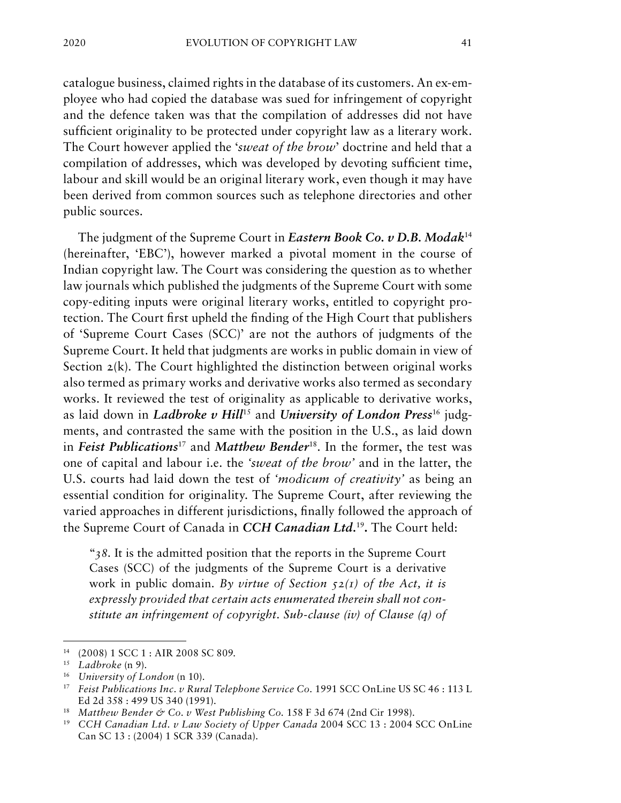catalogue business, claimed rights in the database of its customers. An ex-employee who had copied the database was sued for infringement of copyright and the defence taken was that the compilation of addresses did not have sufficient originality to be protected under copyright law as a literary work. The Court however applied the '*sweat of the brow*' doctrine and held that a compilation of addresses, which was developed by devoting sufficient time, labour and skill would be an original literary work, even though it may have been derived from common sources such as telephone directories and other public sources.

The judgment of the Supreme Court in *Eastern Book Co. v D.B. Modak*<sup>14</sup> (hereinafter, 'EBC'), however marked a pivotal moment in the course of Indian copyright law. The Court was considering the question as to whether law journals which published the judgments of the Supreme Court with some copy-editing inputs were original literary works, entitled to copyright protection. The Court first upheld the finding of the High Court that publishers of 'Supreme Court Cases (SCC)' are not the authors of judgments of the Supreme Court. It held that judgments are works in public domain in view of Section 2(k). The Court highlighted the distinction between original works also termed as primary works and derivative works also termed as secondary works. It reviewed the test of originality as applicable to derivative works, as laid down in *Ladbroke v Hill*<sup>15</sup> and *University of London Press*<sup>16</sup> judgments, and contrasted the same with the position in the U.S., as laid down in *Feist Publications*<sup>17</sup> and *Matthew Bender*18. In the former, the test was one of capital and labour i.e. the *'sweat of the brow'* and in the latter, the U.S. courts had laid down the test of *'modicum of creativity'* as being an essential condition for originality. The Supreme Court, after reviewing the varied approaches in different jurisdictions, finally followed the approach of the Supreme Court of Canada in *CCH Canadian Ltd.*<sup>19</sup>**.** The Court held:

"*38.* It is the admitted position that the reports in the Supreme Court Cases (SCC) of the judgments of the Supreme Court is a derivative work in public domain*. By virtue of Section 52(1) of the Act, it is expressly provided that certain acts enumerated therein shall not constitute an infringement of copyright. Sub-clause (iv) of Clause (q) of* 

<sup>14</sup> (2008) 1 SCC 1 : AIR 2008 SC 809.

<sup>15</sup> *Ladbroke* (n 9).

<sup>16</sup> *University of London* (n 10).

<sup>17</sup> *Feist Publications Inc. v Rural Telephone Service Co.* 1991 SCC OnLine US SC 46 : 113 L Ed 2d 358 : 499 US 340 (1991).

<sup>&</sup>lt;sup>18</sup> Matthew Bender & Co. v West Publishing Co. 158 F 3d 674 (2nd Cir 1998).

<sup>19</sup> *CCH Canadian Ltd. v Law Society of Upper Canada* 2004 SCC 13 : 2004 SCC OnLine Can SC 13 : (2004) 1 SCR 339 (Canada).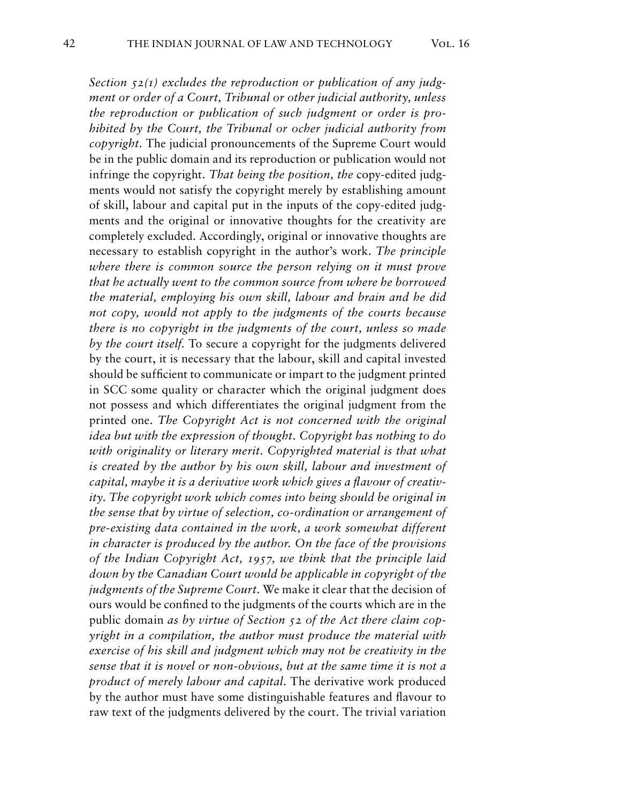*Section 52(1) excludes the reproduction or publication of any judgment or order of a Court, Tribunal or other judicial authority, unless the reproduction or publication of such judgment or order is prohibited by the Court, the Tribunal or ocher judicial authority from copyright.* The judicial pronouncements of the Supreme Court would be in the public domain and its reproduction or publication would not infringe the copyright*. That being the position, the* copy-edited judgments would not satisfy the copyright merely by establishing amount of skill, labour and capital put in the inputs of the copy-edited judgments and the original or innovative thoughts for the creativity are completely excluded. Accordingly, original or innovative thoughts are necessary to establish copyright in the author's work. *The principle where there is common source the person relying on it must prove that he actually went to the common source from where he borrowed the material, employing his own skill, labour and brain and he did not copy, would not apply to the judgments of the courts because there is no copyright in the judgments of the court, unless so made by the court itself.* To secure a copyright for the judgments delivered by the court, it is necessary that the labour, skill and capital invested should be sufficient to communicate or impart to the judgment printed in SCC some quality or character which the original judgment does not possess and which differentiates the original judgment from the printed one. *The Copyright Act is not concerned with the original idea but with the expression of thought. Copyright has nothing to do with originality or literary merit. Copyrighted material is that what*  is created by the author by his own skill, labour and investment of *capital, maybe it is a derivative work which gives a flavour of creativity. The copyright work which comes into being should be original in the sense that by virtue of selection, co-ordination or arrangement of pre-existing data contained in the work, a work somewhat different in character is produced by the author. On the face of the provisions of the Indian Copyright Act, 1957, we think that the principle laid down by the Canadian Court would be applicable in copyright of the judgments of the Supreme Court.* We make it clear that the decision of ours would be confined to the judgments of the courts which are in the public domain *as by virtue of Section 52 of the Act there claim copyright in a compilation, the author must produce the material with exercise of his skill and judgment which may not be creativity in the sense that it is novel or non-obvious, but at the same time it is not a product of merely labour and capital.* The derivative work produced by the author must have some distinguishable features and flavour to raw text of the judgments delivered by the court. The trivial variation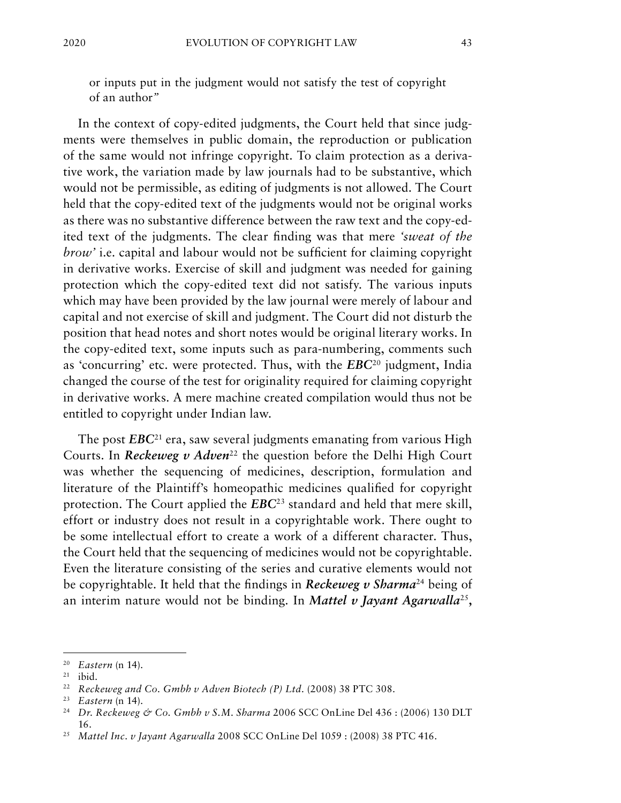or inputs put in the judgment would not satisfy the test of copyright of an author*"*

In the context of copy-edited judgments, the Court held that since judgments were themselves in public domain, the reproduction or publication of the same would not infringe copyright. To claim protection as a derivative work, the variation made by law journals had to be substantive, which would not be permissible, as editing of judgments is not allowed. The Court held that the copy-edited text of the judgments would not be original works as there was no substantive difference between the raw text and the copy-edited text of the judgments. The clear finding was that mere *'sweat of the brow'* i.e. capital and labour would not be sufficient for claiming copyright in derivative works. Exercise of skill and judgment was needed for gaining protection which the copy-edited text did not satisfy. The various inputs which may have been provided by the law journal were merely of labour and capital and not exercise of skill and judgment. The Court did not disturb the position that head notes and short notes would be original literary works. In the copy-edited text, some inputs such as para-numbering, comments such as 'concurring' etc. were protected. Thus, with the *EBC*<sup>20</sup> judgment, India changed the course of the test for originality required for claiming copyright in derivative works. A mere machine created compilation would thus not be entitled to copyright under Indian law.

The post *EBC*<sup>21</sup> era, saw several judgments emanating from various High Courts. In *Reckeweg v Adven*<sup>22</sup> the question before the Delhi High Court was whether the sequencing of medicines, description, formulation and literature of the Plaintiff's homeopathic medicines qualified for copyright protection. The Court applied the *EBC*23 standard and held that mere skill, effort or industry does not result in a copyrightable work. There ought to be some intellectual effort to create a work of a different character. Thus, the Court held that the sequencing of medicines would not be copyrightable. Even the literature consisting of the series and curative elements would not be copyrightable. It held that the findings in *Reckeweg v Sharma*<sup>24</sup> being of an interim nature would not be binding. In *Mattel v Jayant Agarwalla*<sup>25</sup>**,** 

<sup>20</sup> *Eastern* (n 14).

<sup>21</sup> ibid.

<sup>&</sup>lt;sup>22</sup> *Reckeweg and Co. Gmbh v Adven Biotech (P) Ltd.* (2008) 38 PTC 308.

<sup>23</sup> *Eastern* (n 14).

<sup>24</sup> *Dr. Reckeweg & Co. Gmbh v S.M. Sharma* 2006 SCC OnLine Del 436 : (2006) 130 DLT 16.

<sup>25</sup> *Mattel Inc. v Jayant Agarwalla* 2008 SCC OnLine Del 1059 : (2008) 38 PTC 416.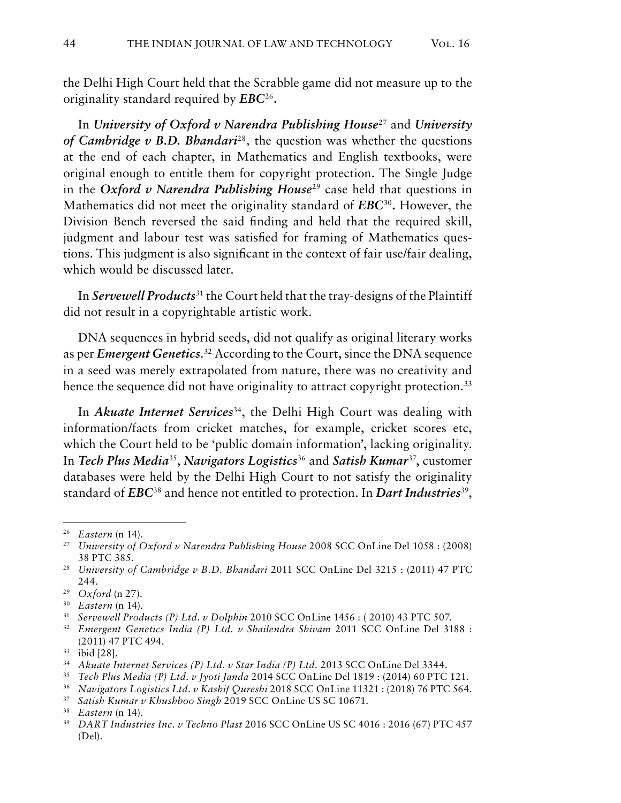the Delhi High Court held that the Scrabble game did not measure up to the originality standard required by *EBC*<sup>26</sup>**.**

In *University of Oxford v Narendra Publishing House*27 and *University of Cambridge v B.D. Bhandari*<sup>28</sup>*,* the question was whether the questions at the end of each chapter, in Mathematics and English textbooks, were original enough to entitle them for copyright protection. The Single Judge in the *Oxford v Narendra Publishing House*<sup>29</sup> case held that questions in Mathematics did not meet the originality standard of *EBC*<sup>30</sup>**.** However, the Division Bench reversed the said finding and held that the required skill, judgment and labour test was satisfied for framing of Mathematics questions. This judgment is also significant in the context of fair use/fair dealing, which would be discussed later.

In *Servewell Products*<sup>31</sup> the Court held that the tray-designs of the Plaintiff did not result in a copyrightable artistic work.

DNA sequences in hybrid seeds, did not qualify as original literary works as per *Emergent Genetics*. 32 According to the Court, since the DNA sequence in a seed was merely extrapolated from nature, there was no creativity and hence the sequence did not have originality to attract copyright protection.<sup>33</sup>

In *Akuate Internet Services*<sup>34</sup>, the Delhi High Court was dealing with information/facts from cricket matches, for example, cricket scores etc, which the Court held to be 'public domain information', lacking originality. In *Tech Plus Media*35, *Navigators Logistics*<sup>36</sup> and *Satish Kumar*37, customer databases were held by the Delhi High Court to not satisfy the originality standard of *EBC*<sup>38</sup> and hence not entitled to protection. In *Dart Industries*39,

<sup>26</sup> *Eastern* (n 14).

<sup>27</sup> *University of Oxford v Narendra Publishing House* 2008 SCC OnLine Del 1058 : (2008) 38 PTC 385.

<sup>28</sup> *University of Cambridge v B.D. Bhandari* 2011 SCC OnLine Del 3215 : (2011) 47 PTC 244.

<sup>29</sup> *Oxford* (n 27).

<sup>30</sup> *Eastern* (n 14).

<sup>31</sup> *Servewell Products (P) Ltd. v Dolphin* 2010 SCC OnLine 1456 : ( 2010) 43 PTC 507.

<sup>32</sup> *Emergent Genetics India (P) Ltd. v Shailendra Shivam* 2011 SCC OnLine Del 3188 : (2011) 47 PTC 494.

<sup>33</sup> ibid [28].

<sup>34</sup> *Akuate Internet Services (P) Ltd. v Star India (P) Ltd.* 2013 SCC OnLine Del 3344.

<sup>35</sup> *Tech Plus Media (P) Ltd. v Jyoti Janda* 2014 SCC OnLine Del 1819 : (2014) 60 PTC 121.

<sup>36</sup> *Navigators Logistics Ltd. v Kashif Qureshi* 2018 SCC OnLine 11321 : (2018) 76 PTC 564.

<sup>37</sup> *Satish Kumar v Khushboo Singh* 2019 SCC OnLine US SC 10671.

<sup>38</sup> *Eastern* (n 14).

<sup>39</sup> *DART Industries Inc. v Techno Plast* 2016 SCC OnLine US SC 4016 : 2016 (67) PTC 457 (Del).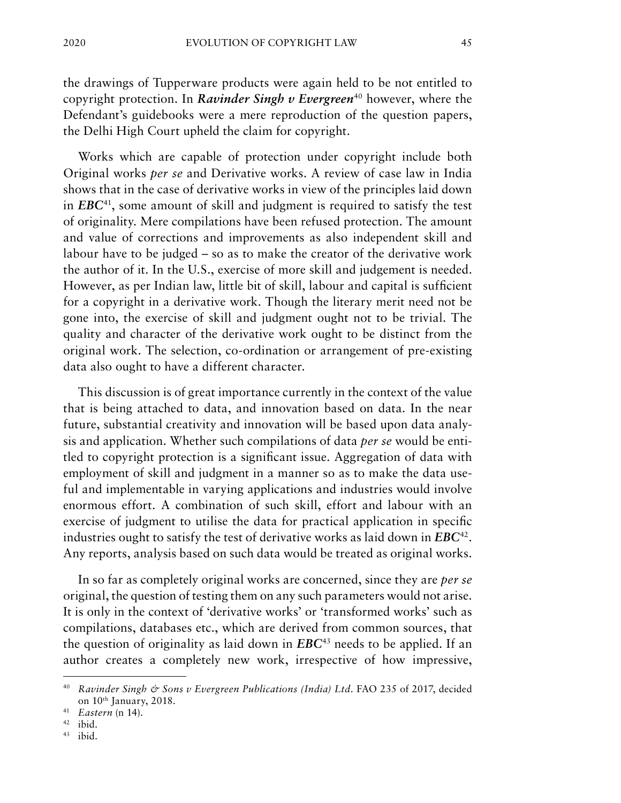the drawings of Tupperware products were again held to be not entitled to copyright protection. In *Ravinder Singh v Evergreen*<sup>40</sup> however, where the Defendant's guidebooks were a mere reproduction of the question papers, the Delhi High Court upheld the claim for copyright.

Works which are capable of protection under copyright include both Original works *per se* and Derivative works. A review of case law in India shows that in the case of derivative works in view of the principles laid down in *EBC*41, some amount of skill and judgment is required to satisfy the test of originality. Mere compilations have been refused protection. The amount and value of corrections and improvements as also independent skill and labour have to be judged – so as to make the creator of the derivative work the author of it. In the U.S., exercise of more skill and judgement is needed. However, as per Indian law, little bit of skill, labour and capital is sufficient for a copyright in a derivative work. Though the literary merit need not be gone into, the exercise of skill and judgment ought not to be trivial. The quality and character of the derivative work ought to be distinct from the original work. The selection, co-ordination or arrangement of pre-existing data also ought to have a different character.

This discussion is of great importance currently in the context of the value that is being attached to data, and innovation based on data. In the near future, substantial creativity and innovation will be based upon data analysis and application. Whether such compilations of data *per se* would be entitled to copyright protection is a significant issue. Aggregation of data with employment of skill and judgment in a manner so as to make the data useful and implementable in varying applications and industries would involve enormous effort. A combination of such skill, effort and labour with an exercise of judgment to utilise the data for practical application in specific industries ought to satisfy the test of derivative works as laid down in *EBC*42. Any reports, analysis based on such data would be treated as original works.

In so far as completely original works are concerned, since they are *per se*  original, the question of testing them on any such parameters would not arise. It is only in the context of 'derivative works' or 'transformed works' such as compilations, databases etc., which are derived from common sources, that the question of originality as laid down in *EBC*<sup>43</sup> needs to be applied. If an author creates a completely new work, irrespective of how impressive,

<sup>40</sup> *Ravinder Singh & Sons v Evergreen Publications (India) Ltd.* FAO 235 of 2017, decided on 10th January, 2018.

<sup>41</sup> *Eastern* (n 14).

<sup>42</sup> ibid.

<sup>43</sup> ibid.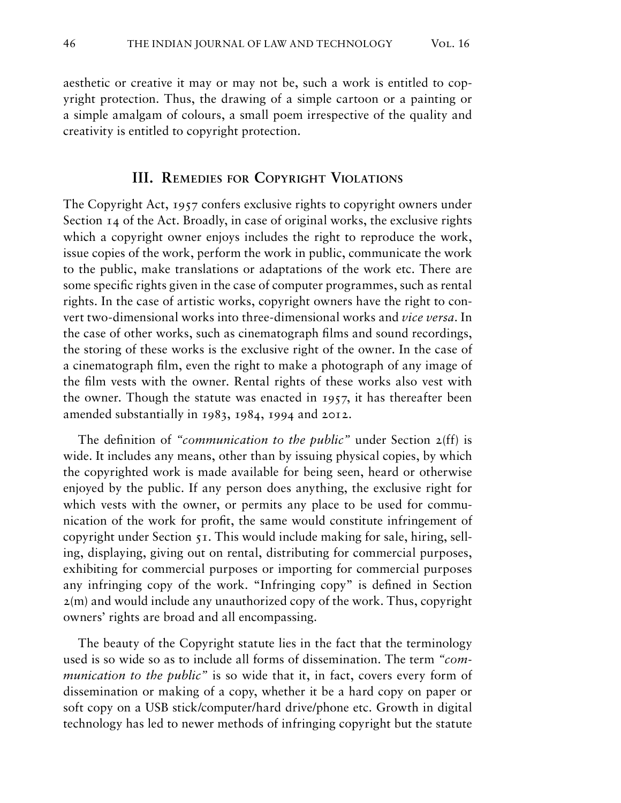aesthetic or creative it may or may not be, such a work is entitled to copyright protection. Thus, the drawing of a simple cartoon or a painting or a simple amalgam of colours, a small poem irrespective of the quality and creativity is entitled to copyright protection.

#### **III. Remedies for Copyright Violations**

The Copyright Act, 1957 confers exclusive rights to copyright owners under Section 14 of the Act. Broadly, in case of original works, the exclusive rights which a copyright owner enjoys includes the right to reproduce the work, issue copies of the work, perform the work in public, communicate the work to the public, make translations or adaptations of the work etc. There are some specific rights given in the case of computer programmes, such as rental rights. In the case of artistic works, copyright owners have the right to convert two-dimensional works into three-dimensional works and *vice versa*. In the case of other works, such as cinematograph films and sound recordings, the storing of these works is the exclusive right of the owner. In the case of a cinematograph film, even the right to make a photograph of any image of the film vests with the owner. Rental rights of these works also vest with the owner. Though the statute was enacted in 1957, it has thereafter been amended substantially in 1983, 1984, 1994 and 2012.

The definition of *"communication to the public"* under Section 2(ff) is wide. It includes any means, other than by issuing physical copies, by which the copyrighted work is made available for being seen, heard or otherwise enjoyed by the public. If any person does anything, the exclusive right for which vests with the owner, or permits any place to be used for communication of the work for profit, the same would constitute infringement of copyright under Section 51. This would include making for sale, hiring, selling, displaying, giving out on rental, distributing for commercial purposes, exhibiting for commercial purposes or importing for commercial purposes any infringing copy of the work. "Infringing copy" is defined in Section 2(m) and would include any unauthorized copy of the work. Thus, copyright owners' rights are broad and all encompassing.

The beauty of the Copyright statute lies in the fact that the terminology used is so wide so as to include all forms of dissemination. The term *"communication to the public"* is so wide that it, in fact, covers every form of dissemination or making of a copy, whether it be a hard copy on paper or soft copy on a USB stick/computer/hard drive/phone etc. Growth in digital technology has led to newer methods of infringing copyright but the statute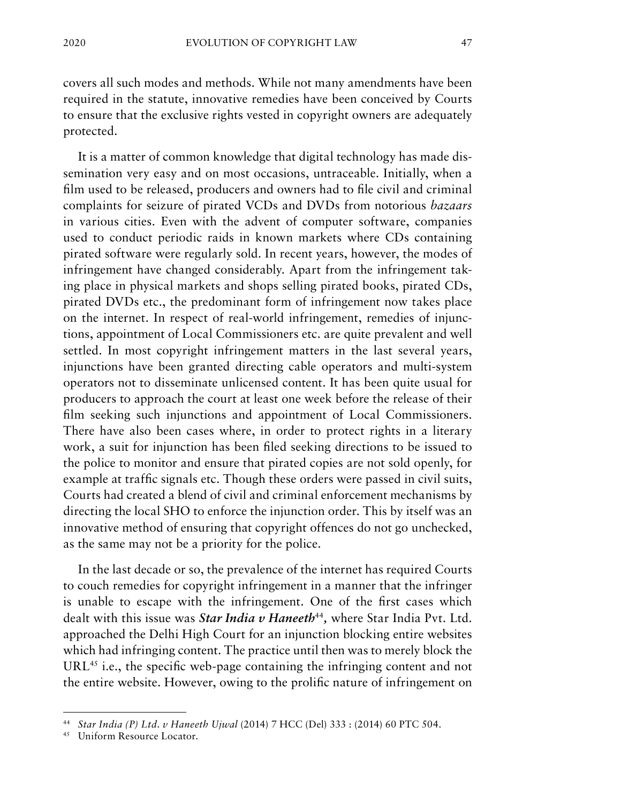covers all such modes and methods. While not many amendments have been required in the statute, innovative remedies have been conceived by Courts to ensure that the exclusive rights vested in copyright owners are adequately protected.

It is a matter of common knowledge that digital technology has made dissemination very easy and on most occasions, untraceable. Initially, when a film used to be released, producers and owners had to file civil and criminal complaints for seizure of pirated VCDs and DVDs from notorious *bazaars* in various cities. Even with the advent of computer software, companies used to conduct periodic raids in known markets where CDs containing pirated software were regularly sold. In recent years, however, the modes of infringement have changed considerably. Apart from the infringement taking place in physical markets and shops selling pirated books, pirated CDs, pirated DVDs etc., the predominant form of infringement now takes place on the internet. In respect of real-world infringement, remedies of injunctions, appointment of Local Commissioners etc. are quite prevalent and well settled. In most copyright infringement matters in the last several years, injunctions have been granted directing cable operators and multi-system operators not to disseminate unlicensed content. It has been quite usual for producers to approach the court at least one week before the release of their film seeking such injunctions and appointment of Local Commissioners. There have also been cases where, in order to protect rights in a literary work, a suit for injunction has been filed seeking directions to be issued to the police to monitor and ensure that pirated copies are not sold openly, for example at traffic signals etc. Though these orders were passed in civil suits, Courts had created a blend of civil and criminal enforcement mechanisms by directing the local SHO to enforce the injunction order. This by itself was an innovative method of ensuring that copyright offences do not go unchecked, as the same may not be a priority for the police.

In the last decade or so, the prevalence of the internet has required Courts to couch remedies for copyright infringement in a manner that the infringer is unable to escape with the infringement. One of the first cases which dealt with this issue was *Star India v Haneeth<sup>44</sup>*, where Star India Pvt. Ltd. approached the Delhi High Court for an injunction blocking entire websites which had infringing content. The practice until then was to merely block the URL<sup>45</sup> i.e., the specific web-page containing the infringing content and not the entire website. However, owing to the prolific nature of infringement on

<sup>44</sup> *Star India (P) Ltd. v Haneeth Ujwal* (2014) 7 HCC (Del) 333 : (2014) 60 PTC 504.

<sup>45</sup> Uniform Resource Locator.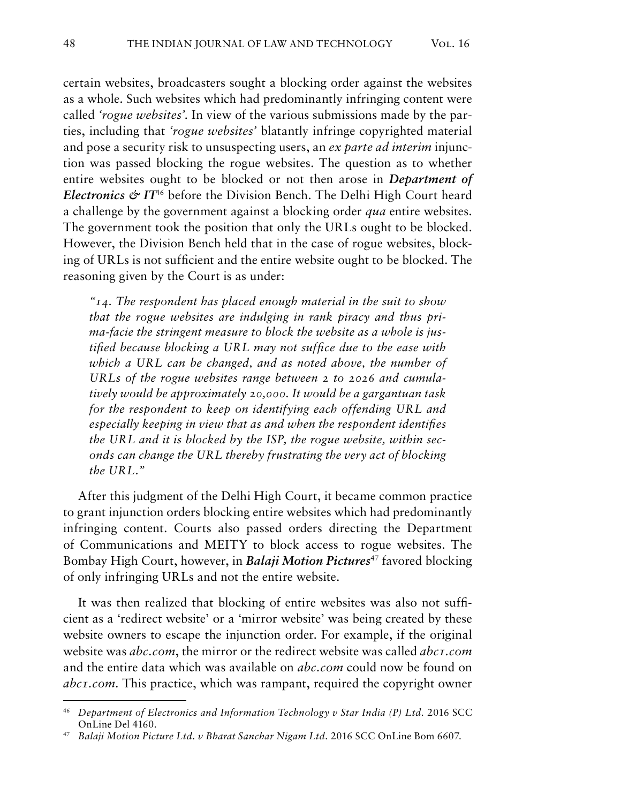certain websites, broadcasters sought a blocking order against the websites as a whole. Such websites which had predominantly infringing content were called *'rogue websites'.* In view of the various submissions made by the parties, including that *'rogue websites'* blatantly infringe copyrighted material and pose a security risk to unsuspecting users, an *ex parte ad interim* injunction was passed blocking the rogue websites. The question as to whether entire websites ought to be blocked or not then arose in *Department of Electronics & IT<sup>46</sup>* before the Division Bench. The Delhi High Court heard a challenge by the government against a blocking order *qua* entire websites. The government took the position that only the URLs ought to be blocked. However, the Division Bench held that in the case of rogue websites, blocking of URLs is not sufficient and the entire website ought to be blocked. The reasoning given by the Court is as under:

*"14. The respondent has placed enough material in the suit to show that the rogue websites are indulging in rank piracy and thus prima-facie the stringent measure to block the website as a whole is justified because blocking a URL may not suffice due to the ease with which a URL can be changed, and as noted above, the number of URLs of the rogue websites range between 2 to 2026 and cumulatively would be approximately 20,000. It would be a gargantuan task for the respondent to keep on identifying each offending URL and especially keeping in view that as and when the respondent identifies the URL and it is blocked by the ISP, the rogue website, within seconds can change the URL thereby frustrating the very act of blocking the URL."*

After this judgment of the Delhi High Court, it became common practice to grant injunction orders blocking entire websites which had predominantly infringing content. Courts also passed orders directing the Department of Communications and MEITY to block access to rogue websites. The Bombay High Court, however, in *Balaji Motion Pictures*<sup>47</sup> favored blocking of only infringing URLs and not the entire website.

It was then realized that blocking of entire websites was also not sufficient as a 'redirect website' or a 'mirror website' was being created by these website owners to escape the injunction order. For example, if the original website was *abc.com*, the mirror or the redirect website was called *abc1.com* and the entire data which was available on *abc.com* could now be found on *abc1.com*. This practice, which was rampant, required the copyright owner

<sup>46</sup> *Department of Electronics and Information Technology v Star India (P) Ltd.* 2016 SCC OnLine Del 4160.

<sup>47</sup> *Balaji Motion Picture Ltd. v Bharat Sanchar Nigam Ltd.* 2016 SCC OnLine Bom 6607.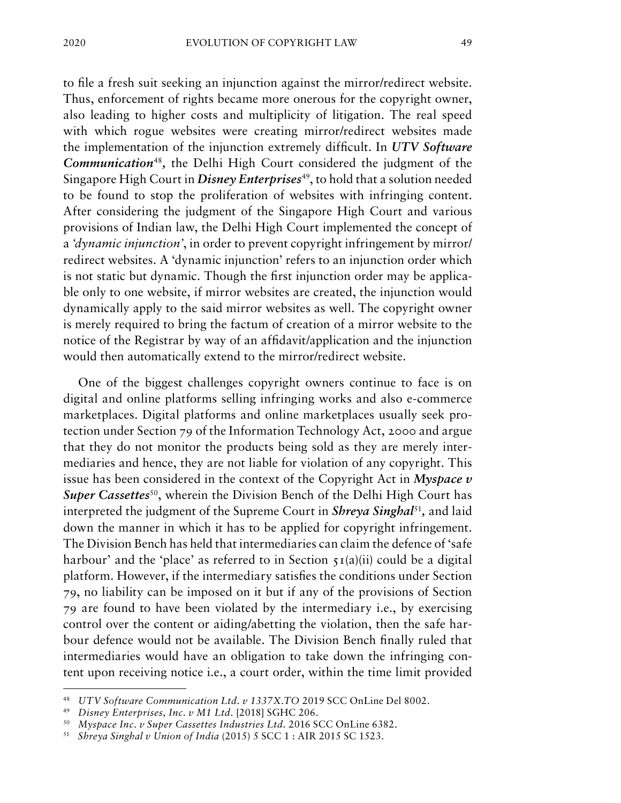to file a fresh suit seeking an injunction against the mirror/redirect website. Thus, enforcement of rights became more onerous for the copyright owner, also leading to higher costs and multiplicity of litigation. The real speed with which rogue websites were creating mirror/redirect websites made the implementation of the injunction extremely difficult. In *UTV Software Communication*<sup>48</sup>*,* the Delhi High Court considered the judgment of the Singapore High Court in *Disney Enterprises<sup>49</sup>*, to hold that a solution needed to be found to stop the proliferation of websites with infringing content. After considering the judgment of the Singapore High Court and various provisions of Indian law, the Delhi High Court implemented the concept of a *'dynamic injunction'*, in order to prevent copyright infringement by mirror/ redirect websites. A 'dynamic injunction' refers to an injunction order which is not static but dynamic. Though the first injunction order may be applicable only to one website, if mirror websites are created, the injunction would dynamically apply to the said mirror websites as well. The copyright owner is merely required to bring the factum of creation of a mirror website to the notice of the Registrar by way of an affidavit/application and the injunction would then automatically extend to the mirror/redirect website.

One of the biggest challenges copyright owners continue to face is on digital and online platforms selling infringing works and also e-commerce marketplaces. Digital platforms and online marketplaces usually seek protection under Section 79 of the Information Technology Act, 2000 and argue that they do not monitor the products being sold as they are merely intermediaries and hence, they are not liable for violation of any copyright. This issue has been considered in the context of the Copyright Act in *Myspace v Super Cassettes*<sup>50</sup>, wherein the Division Bench of the Delhi High Court has interpreted the judgment of the Supreme Court in *Shreya Singhal*<sup>51</sup>*,* and laid down the manner in which it has to be applied for copyright infringement. The Division Bench has held that intermediaries can claim the defence of 'safe harbour' and the 'place' as referred to in Section  $\tau I(a)(ii)$  could be a digital platform. However, if the intermediary satisfies the conditions under Section 79, no liability can be imposed on it but if any of the provisions of Section 79 are found to have been violated by the intermediary i.e., by exercising control over the content or aiding/abetting the violation, then the safe harbour defence would not be available. The Division Bench finally ruled that intermediaries would have an obligation to take down the infringing content upon receiving notice i.e., a court order, within the time limit provided

<sup>48</sup> *UTV Software Communication Ltd. v 1337X.TO* 2019 SCC OnLine Del 8002.

<sup>49</sup> *Disney Enterprises, Inc. v M1 Ltd.* [2018] SGHC 206.

<sup>50</sup> *Myspace Inc. v Super Cassettes Industries Ltd.* 2016 SCC OnLine 6382.

<sup>51</sup> *Shreya Singhal v Union of India* (2015) 5 SCC 1 : AIR 2015 SC 1523.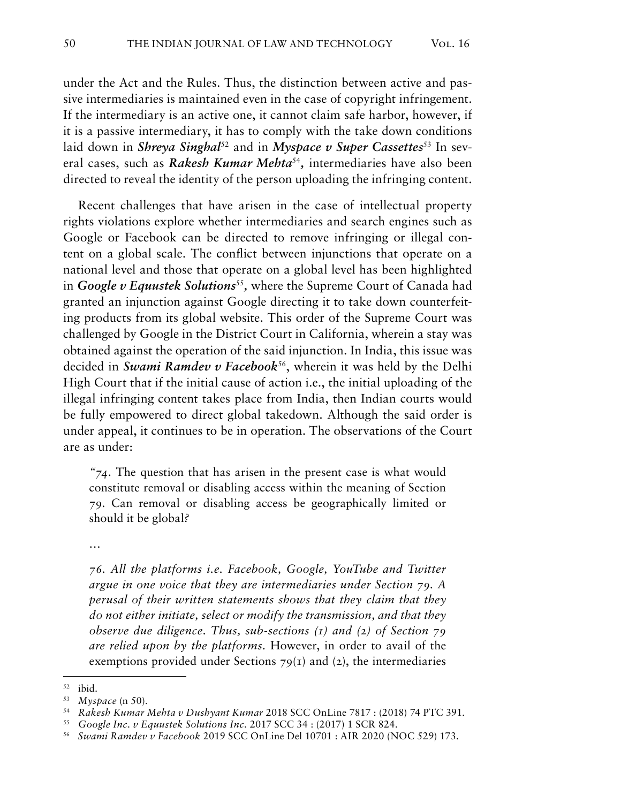under the Act and the Rules. Thus, the distinction between active and passive intermediaries is maintained even in the case of copyright infringement. If the intermediary is an active one, it cannot claim safe harbor, however, if it is a passive intermediary, it has to comply with the take down conditions laid down in *Shreya Singhal*<sup>52</sup> and in *Myspace v Super Cassettes*<sup>53</sup> In several cases, such as *Rakesh Kumar Mehta*<sup>54</sup>*,* intermediaries have also been directed to reveal the identity of the person uploading the infringing content.

Recent challenges that have arisen in the case of intellectual property rights violations explore whether intermediaries and search engines such as Google or Facebook can be directed to remove infringing or illegal content on a global scale. The conflict between injunctions that operate on a national level and those that operate on a global level has been highlighted in *Google v Equustek Solutions<sup>55</sup>*, where the Supreme Court of Canada had granted an injunction against Google directing it to take down counterfeiting products from its global website. This order of the Supreme Court was challenged by Google in the District Court in California, wherein a stay was obtained against the operation of the said injunction. In India, this issue was decided in *Swami Ramdev v Facebook*56, wherein it was held by the Delhi High Court that if the initial cause of action i.e., the initial uploading of the illegal infringing content takes place from India, then Indian courts would be fully empowered to direct global takedown. Although the said order is under appeal, it continues to be in operation. The observations of the Court are as under:

*"74.* The question that has arisen in the present case is what would constitute removal or disabling access within the meaning of Section 79. Can removal or disabling access be geographically limited or should it be global*?*

*…*

*76. All the platforms i.e. Facebook, Google, YouTube and Twitter argue in one voice that they are intermediaries under Section 79. A perusal of their written statements shows that they claim that they do not either initiate, select or modify the transmission, and that they observe due diligence. Thus, sub-sections (1) and (2) of Section 79 are relied upon by the platforms.* However, in order to avail of the exemptions provided under Sections  $79(1)$  and (2), the intermediaries

<sup>55</sup> *Google Inc. v Equustek Solutions Inc.* 2017 SCC 34 : (2017) 1 SCR 824.

<sup>52</sup> ibid.

<sup>53</sup> *Myspace* (n 50).

<sup>54</sup> *Rakesh Kumar Mehta v Dushyant Kumar* 2018 SCC OnLine 7817 : (2018) 74 PTC 391.

<sup>56</sup> *Swami Ramdev v Facebook* 2019 SCC OnLine Del 10701 : AIR 2020 (NOC 529) 173.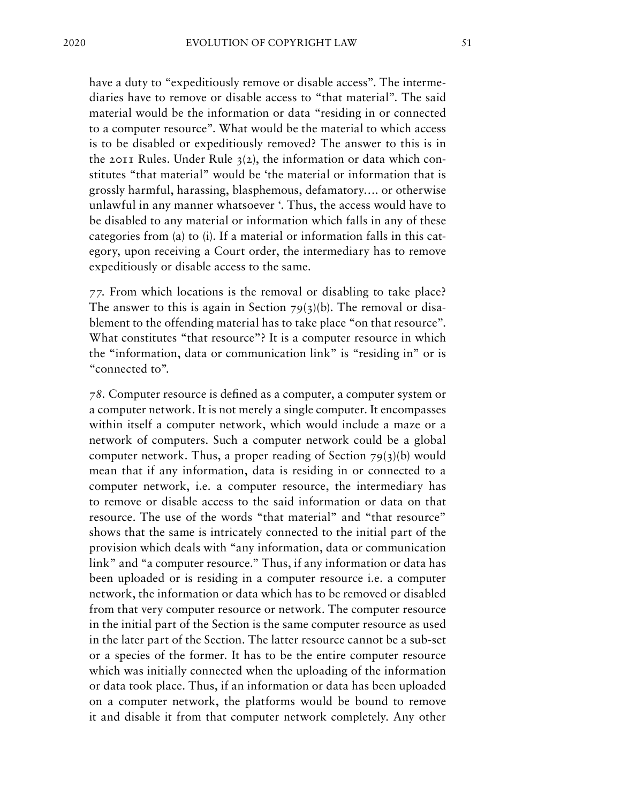have a duty to "expeditiously remove or disable access". The intermediaries have to remove or disable access to "that material". The said material would be the information or data "residing in or connected to a computer resource". What would be the material to which access is to be disabled or expeditiously removed? The answer to this is in the 2011 Rules. Under Rule  $3(2)$ , the information or data which constitutes "that material" would be 'the material or information that is grossly harmful, harassing, blasphemous, defamatory…. or otherwise unlawful in any manner whatsoever '. Thus, the access would have to be disabled to any material or information which falls in any of these categories from (a) to (i). If a material or information falls in this category, upon receiving a Court order, the intermediary has to remove expeditiously or disable access to the same*.*

*77.* From which locations is the removal or disabling to take place? The answer to this is again in Section  $79(3)(b)$ . The removal or disablement to the offending material has to take place "on that resource". What constitutes "that resource"? It is a computer resource in which the "information, data or communication link" is "residing in" or is "connected to"*.*

*78.* Computer resource is defined as a computer, a computer system or a computer network. It is not merely a single computer. It encompasses within itself a computer network, which would include a maze or a network of computers. Such a computer network could be a global computer network. Thus, a proper reading of Section  $79(3)(b)$  would mean that if any information, data is residing in or connected to a computer network, i.e. a computer resource, the intermediary has to remove or disable access to the said information or data on that resource. The use of the words "that material" and "that resource" shows that the same is intricately connected to the initial part of the provision which deals with "any information, data or communication link" and "a computer resource." Thus, if any information or data has been uploaded or is residing in a computer resource i.e. a computer network, the information or data which has to be removed or disabled from that very computer resource or network. The computer resource in the initial part of the Section is the same computer resource as used in the later part of the Section. The latter resource cannot be a sub-set or a species of the former. It has to be the entire computer resource which was initially connected when the uploading of the information or data took place. Thus, if an information or data has been uploaded on a computer network, the platforms would be bound to remove it and disable it from that computer network completely. Any other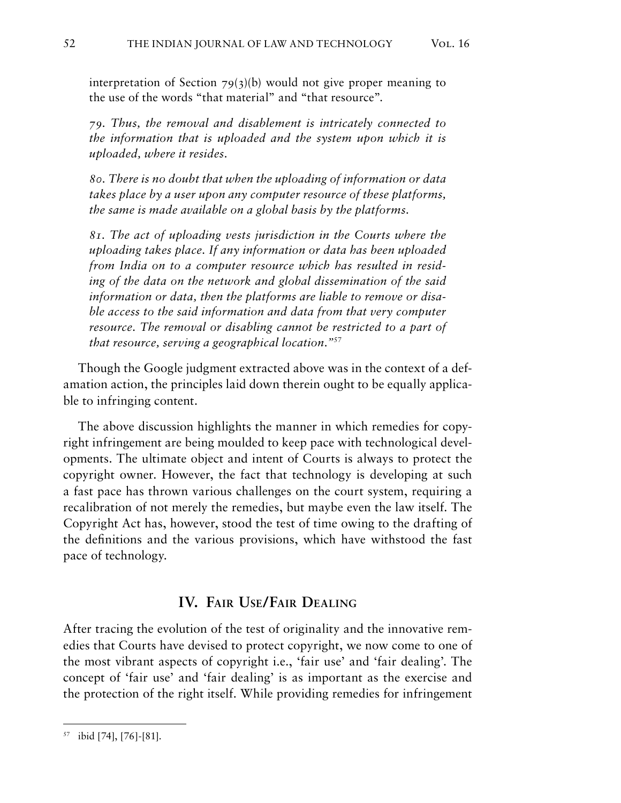interpretation of Section  $79(3)(b)$  would not give proper meaning to the use of the words "that material" and "that resource".

*79. Thus, the removal and disablement is intricately connected to the information that is uploaded and the system upon which it is uploaded, where it resides.*

*80. There is no doubt that when the uploading of information or data takes place by a user upon any computer resource of these platforms, the same is made available on a global basis by the platforms.*

*81. The act of uploading vests jurisdiction in the Courts where the uploading takes place. If any information or data has been uploaded from India on to a computer resource which has resulted in residing of the data on the network and global dissemination of the said information or data, then the platforms are liable to remove or disable access to the said information and data from that very computer*  resource. The removal or disabling cannot be restricted to a part of *that resource, serving a geographical location."*<sup>57</sup>

Though the Google judgment extracted above was in the context of a defamation action, the principles laid down therein ought to be equally applicable to infringing content.

The above discussion highlights the manner in which remedies for copyright infringement are being moulded to keep pace with technological developments. The ultimate object and intent of Courts is always to protect the copyright owner. However, the fact that technology is developing at such a fast pace has thrown various challenges on the court system, requiring a recalibration of not merely the remedies, but maybe even the law itself. The Copyright Act has, however, stood the test of time owing to the drafting of the definitions and the various provisions, which have withstood the fast pace of technology.

### **IV. Fair Use/Fair Dealing**

After tracing the evolution of the test of originality and the innovative remedies that Courts have devised to protect copyright, we now come to one of the most vibrant aspects of copyright i.e., 'fair use' and 'fair dealing'. The concept of 'fair use' and 'fair dealing' is as important as the exercise and the protection of the right itself. While providing remedies for infringement

<sup>57</sup> ibid [74], [76]-[81].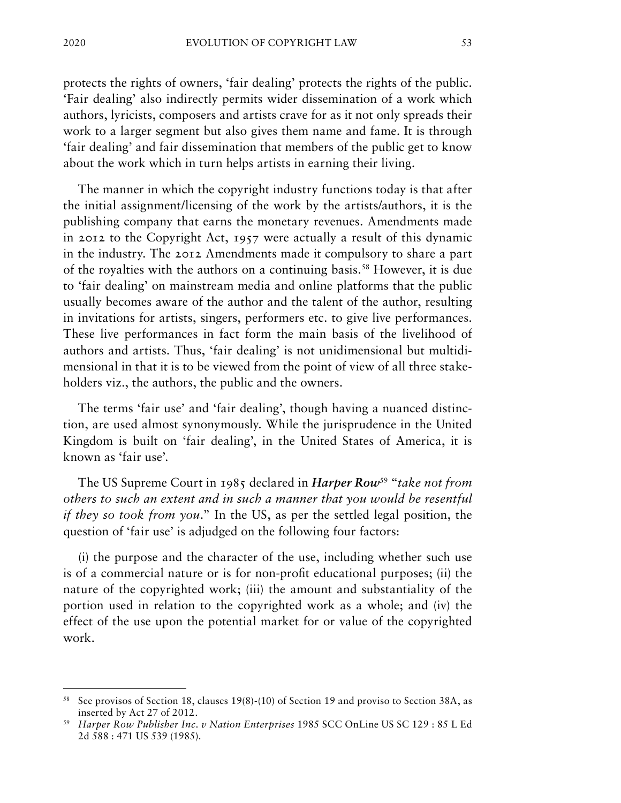protects the rights of owners, 'fair dealing' protects the rights of the public. 'Fair dealing' also indirectly permits wider dissemination of a work which authors, lyricists, composers and artists crave for as it not only spreads their work to a larger segment but also gives them name and fame. It is through 'fair dealing' and fair dissemination that members of the public get to know about the work which in turn helps artists in earning their living.

The manner in which the copyright industry functions today is that after the initial assignment/licensing of the work by the artists/authors, it is the publishing company that earns the monetary revenues. Amendments made in 2012 to the Copyright Act, 1957 were actually a result of this dynamic in the industry. The 2012 Amendments made it compulsory to share a part of the royalties with the authors on a continuing basis.58 However, it is due to 'fair dealing' on mainstream media and online platforms that the public usually becomes aware of the author and the talent of the author, resulting in invitations for artists, singers, performers etc. to give live performances. These live performances in fact form the main basis of the livelihood of authors and artists. Thus, 'fair dealing' is not unidimensional but multidimensional in that it is to be viewed from the point of view of all three stakeholders viz., the authors, the public and the owners.

The terms 'fair use' and 'fair dealing', though having a nuanced distinction, are used almost synonymously. While the jurisprudence in the United Kingdom is built on 'fair dealing', in the United States of America, it is known as 'fair use'.

The US Supreme Court in 1985 declared in *Harper Row*59 "*take not from others to such an extent and in such a manner that you would be resentful if they so took from you.*" In the US, as per the settled legal position, the question of 'fair use' is adjudged on the following four factors:

(i) the purpose and the character of the use, including whether such use is of a commercial nature or is for non-profit educational purposes; (ii) the nature of the copyrighted work; (iii) the amount and substantiality of the portion used in relation to the copyrighted work as a whole; and (iv) the effect of the use upon the potential market for or value of the copyrighted work.

<sup>&</sup>lt;sup>58</sup> See provisos of Section 18, clauses 19(8)-(10) of Section 19 and proviso to Section 38A, as inserted by Act 27 of 2012.

<sup>59</sup> *Harper Row Publisher Inc. v Nation Enterprises* 1985 SCC OnLine US SC 129 : 85 L Ed 2d 588 : 471 US 539 (1985).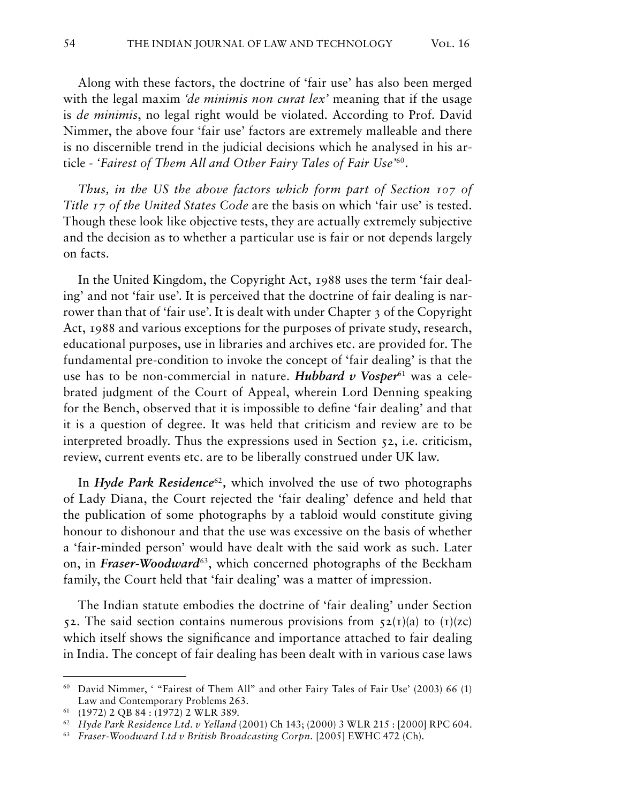Along with these factors, the doctrine of 'fair use' has also been merged with the legal maxim *'de minimis non curat lex'* meaning that if the usage is *de minimis*, no legal right would be violated. According to Prof. David Nimmer, the above four 'fair use' factors are extremely malleable and there is no discernible trend in the judicial decisions which he analysed in his article - *'Fairest of Them All and Other Fairy Tales of Fair Use'*60*.*

*Thus, in the US the above factors which form part of Section 107 of Title 17 of the United States Code* are the basis on which 'fair use' is tested. Though these look like objective tests, they are actually extremely subjective and the decision as to whether a particular use is fair or not depends largely on facts.

In the United Kingdom, the Copyright Act, 1988 uses the term 'fair dealing' and not 'fair use'. It is perceived that the doctrine of fair dealing is narrower than that of 'fair use'. It is dealt with under Chapter 3 of the Copyright Act, 1988 and various exceptions for the purposes of private study, research, educational purposes, use in libraries and archives etc. are provided for. The fundamental pre-condition to invoke the concept of 'fair dealing' is that the use has to be non-commercial in nature. *Hubbard v Vosper*<sup>61</sup> was a celebrated judgment of the Court of Appeal, wherein Lord Denning speaking for the Bench, observed that it is impossible to define 'fair dealing' and that it is a question of degree. It was held that criticism and review are to be interpreted broadly. Thus the expressions used in Section 52, i.e. criticism, review, current events etc. are to be liberally construed under UK law.

In *Hyde Park Residence*<sup>62</sup>*,* which involved the use of two photographs of Lady Diana, the Court rejected the 'fair dealing' defence and held that the publication of some photographs by a tabloid would constitute giving honour to dishonour and that the use was excessive on the basis of whether a 'fair-minded person' would have dealt with the said work as such. Later on, in *Fraser-Woodward*63, which concerned photographs of the Beckham family, the Court held that 'fair dealing' was a matter of impression.

The Indian statute embodies the doctrine of 'fair dealing' under Section 52. The said section contains numerous provisions from  $52(I)(a)$  to  $(I)(zc)$ which itself shows the significance and importance attached to fair dealing in India. The concept of fair dealing has been dealt with in various case laws

<sup>60</sup> David Nimmer, ' "Fairest of Them All" and other Fairy Tales of Fair Use' (2003) 66 (1) Law and Contemporary Problems 263.

<sup>61</sup> (1972) 2 QB 84 : (1972) 2 WLR 389.

<sup>62</sup> *Hyde Park Residence Ltd. v Yelland* (2001) Ch 143; (2000) 3 WLR 215 : [2000] RPC 604.

<sup>&</sup>lt;sup>63</sup> *Fraser-Woodward Ltd v British Broadcasting Corpn.* [2005] EWHC 472 (Ch).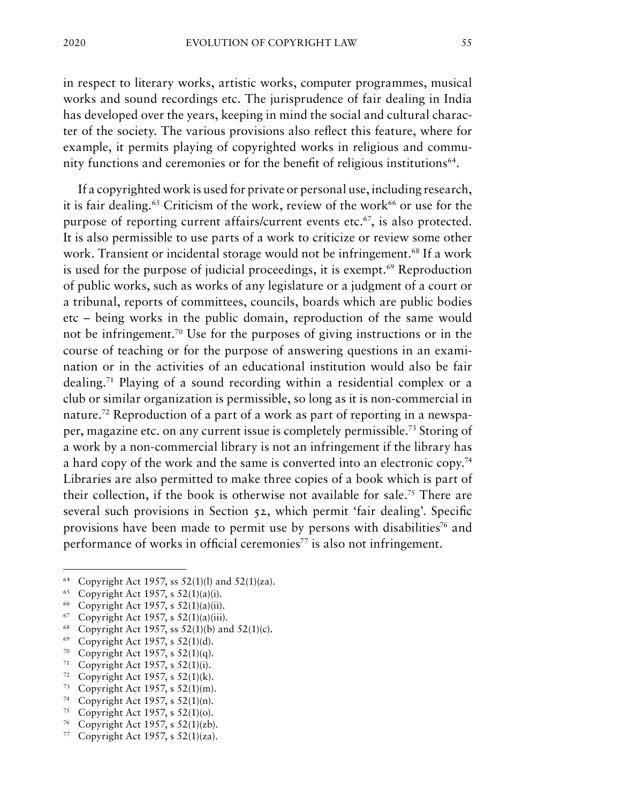in respect to literary works, artistic works, computer programmes, musical works and sound recordings etc. The jurisprudence of fair dealing in India has developed over the years, keeping in mind the social and cultural character of the society. The various provisions also reflect this feature, where for example, it permits playing of copyrighted works in religious and community functions and ceremonies or for the benefit of religious institutions<sup>64</sup>.

If a copyrighted work is used for private or personal use, including research, it is fair dealing.<sup>65</sup> Criticism of the work, review of the work<sup>66</sup> or use for the purpose of reporting current affairs/current events etc.<sup>67</sup>, is also protected. It is also permissible to use parts of a work to criticize or review some other work. Transient or incidental storage would not be infringement.<sup>68</sup> If a work is used for the purpose of judicial proceedings, it is exempt.<sup>69</sup> Reproduction of public works, such as works of any legislature or a judgment of a court or a tribunal, reports of committees, councils, boards which are public bodies etc – being works in the public domain, reproduction of the same would not be infringement.70 Use for the purposes of giving instructions or in the course of teaching or for the purpose of answering questions in an examination or in the activities of an educational institution would also be fair dealing.71 Playing of a sound recording within a residential complex or a club or similar organization is permissible, so long as it is non-commercial in nature.72 Reproduction of a part of a work as part of reporting in a newspaper, magazine etc. on any current issue is completely permissible.73 Storing of a work by a non-commercial library is not an infringement if the library has a hard copy of the work and the same is converted into an electronic copy.74 Libraries are also permitted to make three copies of a book which is part of their collection, if the book is otherwise not available for sale.75 There are several such provisions in Section 52, which permit 'fair dealing'. Specific provisions have been made to permit use by persons with disabilities<sup>76</sup> and performance of works in official ceremonies<sup>77</sup> is also not infringement.

<sup>&</sup>lt;sup>64</sup> Copyright Act 1957, ss  $52(1)(1)$  and  $52(1)(za)$ .

<sup>65</sup> Copyright Act 1957, s 52(1)(a)(i).

<sup>66</sup> Copyright Act 1957, s 52(1)(a)(ii).

 $67$  Copyright Act 1957, s  $52(1)(a)(iii)$ .

<sup>&</sup>lt;sup>68</sup> Copyright Act 1957, ss  $52(1)(b)$  and  $52(1)(c)$ .

<sup>&</sup>lt;sup>69</sup> Copyright Act 1957, s 52(1)(d).<br><sup>70</sup> Copyright Act 1957, s 52(1)(a).

Copyright Act 1957, s  $52(1)(q)$ .

<sup>&</sup>lt;sup>71</sup> Copyright Act 1957, s  $52(1)(i)$ .<br><sup>72</sup> Copyright Act 1957 s  $52(1)(k)$ .

Copyright Act 1957, s  $52(1)(k)$ .

<sup>73</sup> Copyright Act 1957, s 52(1)(m).

<sup>&</sup>lt;sup>74</sup> Copyright Act 1957, s 52(1)(n).<br><sup>75</sup> Copyright Act 1957 s 52(1)(o)

Copyright Act 1957, s 52(1)(o).

<sup>76</sup> Copyright Act 1957, s 52(1)(zb).

<sup>77</sup> Copyright Act 1957, s 52(1)(za).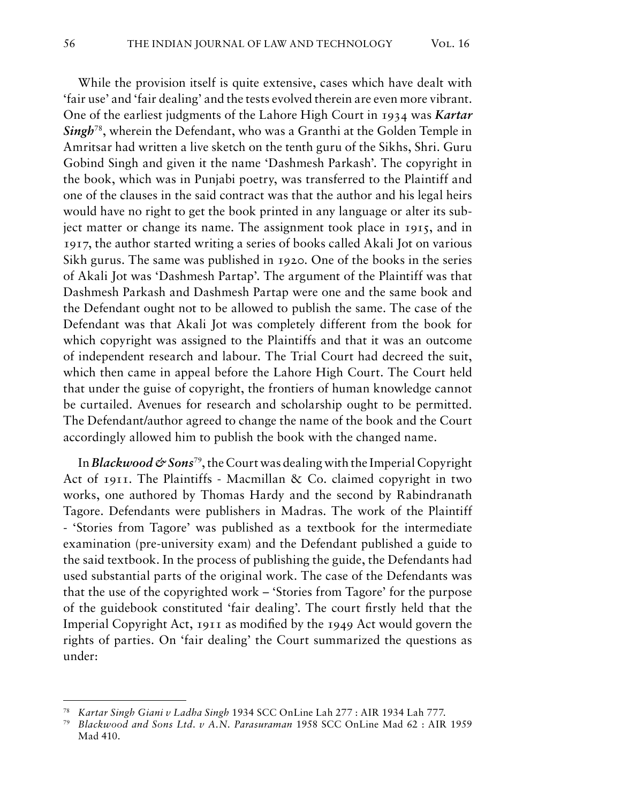While the provision itself is quite extensive, cases which have dealt with 'fair use' and 'fair dealing' and the tests evolved therein are even more vibrant. One of the earliest judgments of the Lahore High Court in 1934 was *Kartar Singh*78, wherein the Defendant, who was a Granthi at the Golden Temple in Amritsar had written a live sketch on the tenth guru of the Sikhs, Shri. Guru Gobind Singh and given it the name 'Dashmesh Parkash'. The copyright in the book, which was in Punjabi poetry, was transferred to the Plaintiff and one of the clauses in the said contract was that the author and his legal heirs would have no right to get the book printed in any language or alter its subject matter or change its name. The assignment took place in 1915, and in 1917, the author started writing a series of books called Akali Jot on various Sikh gurus. The same was published in 1920. One of the books in the series of Akali Jot was 'Dashmesh Partap'. The argument of the Plaintiff was that Dashmesh Parkash and Dashmesh Partap were one and the same book and the Defendant ought not to be allowed to publish the same. The case of the Defendant was that Akali Jot was completely different from the book for which copyright was assigned to the Plaintiffs and that it was an outcome of independent research and labour. The Trial Court had decreed the suit, which then came in appeal before the Lahore High Court. The Court held that under the guise of copyright, the frontiers of human knowledge cannot be curtailed. Avenues for research and scholarship ought to be permitted. The Defendant/author agreed to change the name of the book and the Court accordingly allowed him to publish the book with the changed name.

In *Blackwood & Sons*<sup>79</sup>, the Court was dealing with the Imperial Copyright Act of 1911. The Plaintiffs - Macmillan & Co. claimed copyright in two works, one authored by Thomas Hardy and the second by Rabindranath Tagore. Defendants were publishers in Madras. The work of the Plaintiff - 'Stories from Tagore' was published as a textbook for the intermediate examination (pre-university exam) and the Defendant published a guide to the said textbook. In the process of publishing the guide, the Defendants had used substantial parts of the original work. The case of the Defendants was that the use of the copyrighted work – 'Stories from Tagore' for the purpose of the guidebook constituted 'fair dealing'. The court firstly held that the Imperial Copyright Act, 1911 as modified by the 1949 Act would govern the rights of parties. On 'fair dealing' the Court summarized the questions as under:

<sup>78</sup> *Kartar Singh Giani v Ladha Singh* 1934 SCC OnLine Lah 277 : AIR 1934 Lah 777.

<sup>79</sup> *Blackwood and Sons Ltd. v A.N. Parasuraman* 1958 SCC OnLine Mad 62 : AIR 1959 Mad 410.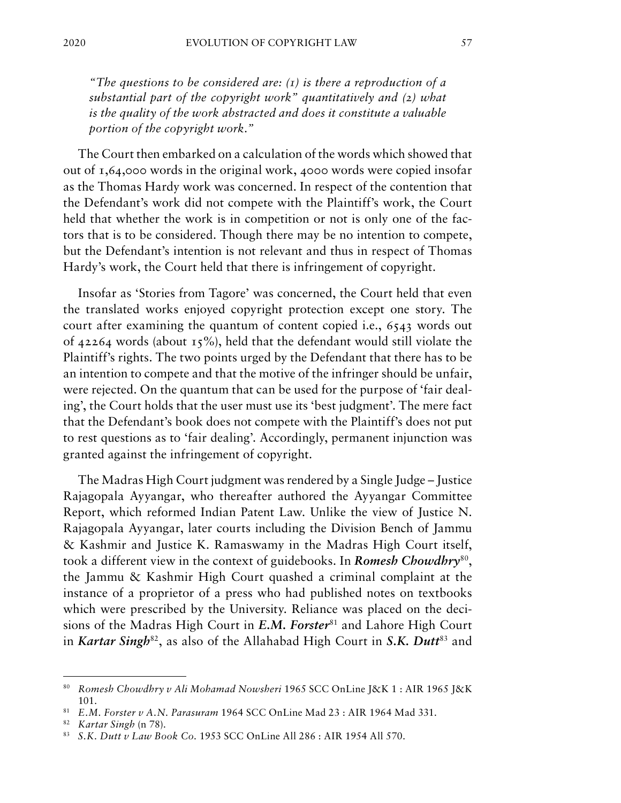*"The questions to be considered are: (1) is there a reproduction of a substantial part of the copyright work" quantitatively and (2) what is the quality of the work abstracted and does it constitute a valuable portion of the copyright work."*

The Court then embarked on a calculation of the words which showed that out of 1,64,000 words in the original work, 4000 words were copied insofar as the Thomas Hardy work was concerned. In respect of the contention that the Defendant's work did not compete with the Plaintiff's work, the Court held that whether the work is in competition or not is only one of the factors that is to be considered. Though there may be no intention to compete, but the Defendant's intention is not relevant and thus in respect of Thomas Hardy's work, the Court held that there is infringement of copyright.

Insofar as 'Stories from Tagore' was concerned, the Court held that even the translated works enjoyed copyright protection except one story. The court after examining the quantum of content copied i.e., 6543 words out of 42264 words (about  $15\%$ ), held that the defendant would still violate the Plaintiff's rights. The two points urged by the Defendant that there has to be an intention to compete and that the motive of the infringer should be unfair, were rejected. On the quantum that can be used for the purpose of 'fair dealing', the Court holds that the user must use its 'best judgment'. The mere fact that the Defendant's book does not compete with the Plaintiff's does not put to rest questions as to 'fair dealing'. Accordingly, permanent injunction was granted against the infringement of copyright.

The Madras High Court judgment was rendered by a Single Judge – Justice Rajagopala Ayyangar, who thereafter authored the Ayyangar Committee Report, which reformed Indian Patent Law. Unlike the view of Justice N. Rajagopala Ayyangar, later courts including the Division Bench of Jammu & Kashmir and Justice K. Ramaswamy in the Madras High Court itself, took a different view in the context of guidebooks. In *Romesh Chowdhry*80, the Jammu & Kashmir High Court quashed a criminal complaint at the instance of a proprietor of a press who had published notes on textbooks which were prescribed by the University. Reliance was placed on the decisions of the Madras High Court in *E.M. Forster*<sup>81</sup> and Lahore High Court in *Kartar Singh*<sup>82</sup>, as also of the Allahabad High Court in *S.K. Dutt*<sup>83</sup> and

<sup>80</sup> *Romesh Chowdhry v Ali Mohamad Nowsheri* 1965 SCC OnLine J&K 1 : AIR 1965 J&K 101.

<sup>81</sup> *E.M. Forster v A.N. Parasuram* 1964 SCC OnLine Mad 23 : AIR 1964 Mad 331.

<sup>82</sup> *Kartar Singh* (n 78).

<sup>83</sup> *S.K. Dutt v Law Book Co.* 1953 SCC OnLine All 286 : AIR 1954 All 570.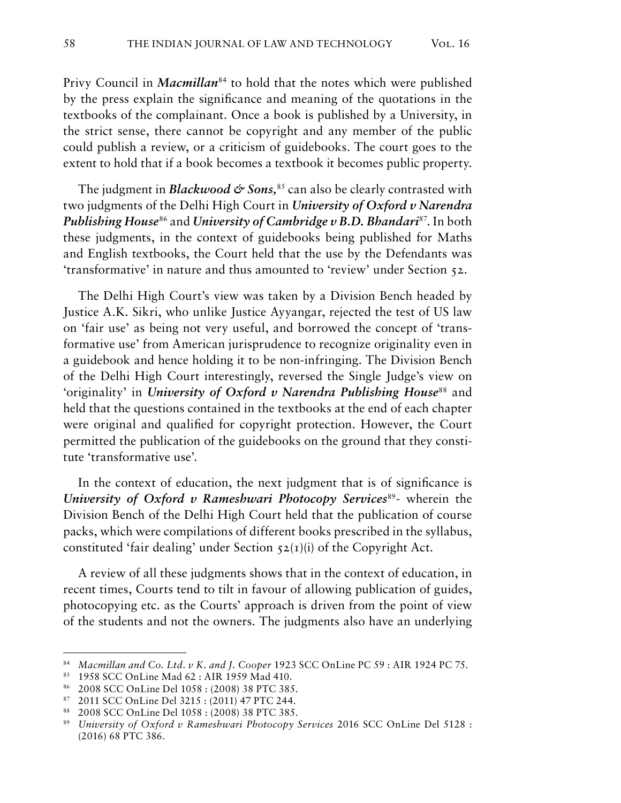Privy Council in *Macmillan*<sup>84</sup> to hold that the notes which were published by the press explain the significance and meaning of the quotations in the textbooks of the complainant. Once a book is published by a University, in the strict sense, there cannot be copyright and any member of the public could publish a review, or a criticism of guidebooks. The court goes to the extent to hold that if a book becomes a textbook it becomes public property.

The judgment in *Blackwood & Sons*,<sup>85</sup> can also be clearly contrasted with two judgments of the Delhi High Court in *University of Oxford v Narendra Publishing House*<sup>86</sup> and *University of Cambridge v B.D. Bhandari*87. In both these judgments, in the context of guidebooks being published for Maths and English textbooks, the Court held that the use by the Defendants was 'transformative' in nature and thus amounted to 'review' under Section 52.

The Delhi High Court's view was taken by a Division Bench headed by Justice A.K. Sikri, who unlike Justice Ayyangar, rejected the test of US law on 'fair use' as being not very useful, and borrowed the concept of 'transformative use' from American jurisprudence to recognize originality even in a guidebook and hence holding it to be non-infringing. The Division Bench of the Delhi High Court interestingly, reversed the Single Judge's view on 'originality' in *University of Oxford v Narendra Publishing House<sup>88</sup>* and held that the questions contained in the textbooks at the end of each chapter were original and qualified for copyright protection. However, the Court permitted the publication of the guidebooks on the ground that they constitute 'transformative use'.

In the context of education, the next judgment that is of significance is *University of Oxford v Rameshwari Photocopy Services*<sup>89</sup>- wherein the Division Bench of the Delhi High Court held that the publication of course packs, which were compilations of different books prescribed in the syllabus, constituted 'fair dealing' under Section  $52(I)(i)$  of the Copyright Act.

A review of all these judgments shows that in the context of education, in recent times, Courts tend to tilt in favour of allowing publication of guides, photocopying etc. as the Courts' approach is driven from the point of view of the students and not the owners. The judgments also have an underlying

<sup>84</sup> *Macmillan and Co. Ltd. v K. and J. Cooper* 1923 SCC OnLine PC 59 : AIR 1924 PC 75.

<sup>85 1958</sup> SCC OnLine Mad 62 : AIR 1959 Mad 410.

<sup>86</sup> 2008 SCC OnLine Del 1058 : (2008) 38 PTC 385.

<sup>87</sup> 2011 SCC OnLine Del 3215 : (2011) 47 PTC 244.

<sup>88</sup> 2008 SCC OnLine Del 1058 : (2008) 38 PTC 385.

<sup>89</sup> *University of Oxford v Rameshwari Photocopy Services* 2016 SCC OnLine Del 5128 : (2016) 68 PTC 386.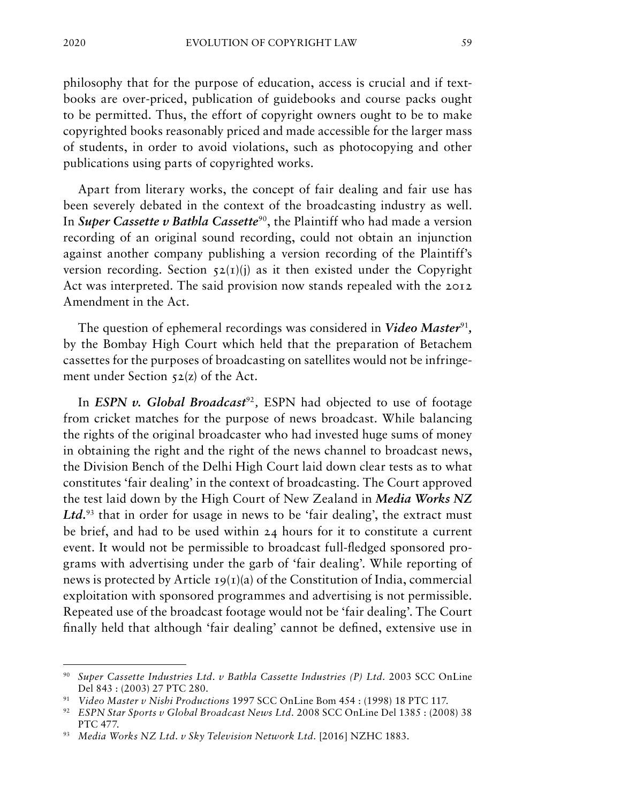philosophy that for the purpose of education, access is crucial and if textbooks are over-priced, publication of guidebooks and course packs ought to be permitted. Thus, the effort of copyright owners ought to be to make copyrighted books reasonably priced and made accessible for the larger mass of students, in order to avoid violations, such as photocopying and other publications using parts of copyrighted works.

Apart from literary works, the concept of fair dealing and fair use has been severely debated in the context of the broadcasting industry as well. In *Super Cassette v Bathla Cassette<sup>90</sup>*, the Plaintiff who had made a version recording of an original sound recording, could not obtain an injunction against another company publishing a version recording of the Plaintiff's version recording. Section  $52(I)(i)$  as it then existed under the Copyright Act was interpreted. The said provision now stands repealed with the 2012 Amendment in the Act.

The question of ephemeral recordings was considered in *Video Master*<sup>91</sup>*,* by the Bombay High Court which held that the preparation of Betachem cassettes for the purposes of broadcasting on satellites would not be infringement under Section 52(z) of the Act.

In *ESPN v. Global Broadcast*<sup>92</sup>, *ESPN* had objected to use of footage from cricket matches for the purpose of news broadcast. While balancing the rights of the original broadcaster who had invested huge sums of money in obtaining the right and the right of the news channel to broadcast news, the Division Bench of the Delhi High Court laid down clear tests as to what constitutes 'fair dealing' in the context of broadcasting. The Court approved the test laid down by the High Court of New Zealand in *Media Works NZ*  Ltd.<sup>93</sup> that in order for usage in news to be 'fair dealing', the extract must be brief, and had to be used within 24 hours for it to constitute a current event. It would not be permissible to broadcast full-fledged sponsored programs with advertising under the garb of 'fair dealing'. While reporting of news is protected by Article  $19(1)(a)$  of the Constitution of India, commercial exploitation with sponsored programmes and advertising is not permissible. Repeated use of the broadcast footage would not be 'fair dealing'. The Court finally held that although 'fair dealing' cannot be defined, extensive use in

<sup>90</sup> *Super Cassette Industries Ltd. v Bathla Cassette Industries (P) Ltd.* 2003 SCC OnLine Del 843 : (2003) 27 PTC 280.

<sup>91</sup> *Video Master v Nishi Productions* 1997 SCC OnLine Bom 454 : (1998) 18 PTC 117.

<sup>92</sup> *ESPN Star Sports v Global Broadcast News Ltd.* 2008 SCC OnLine Del 1385 : (2008) 38 PTC 477.

<sup>93</sup> *Media Works NZ Ltd. v Sky Television Network Ltd.* [2016] NZHC 1883.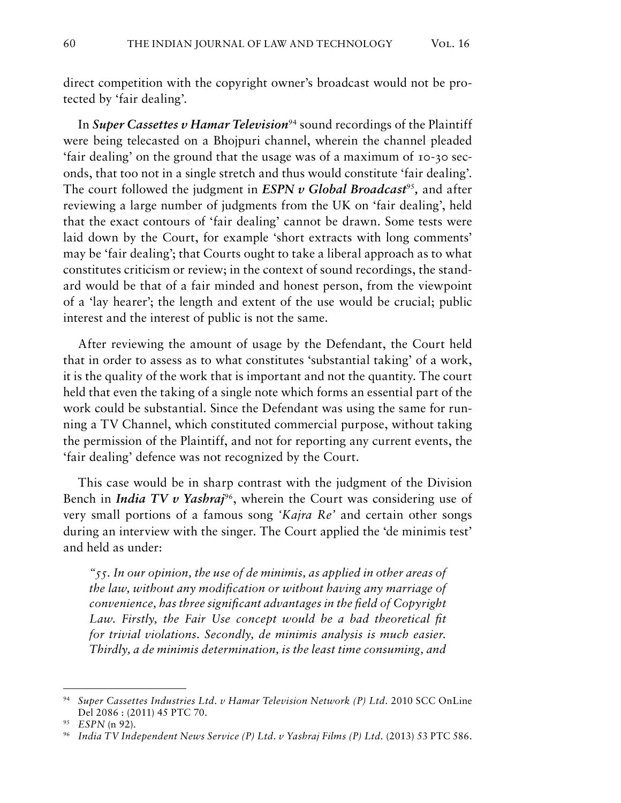direct competition with the copyright owner's broadcast would not be protected by 'fair dealing'.

In *Super Cassettes v Hamar Television*<sup>94</sup> sound recordings of the Plaintiff were being telecasted on a Bhojpuri channel, wherein the channel pleaded 'fair dealing' on the ground that the usage was of a maximum of 10-30 seconds, that too not in a single stretch and thus would constitute 'fair dealing'. The court followed the judgment in *ESPN v Global Broadcast*<sup>95</sup>, and after reviewing a large number of judgments from the UK on 'fair dealing', held that the exact contours of 'fair dealing' cannot be drawn. Some tests were laid down by the Court, for example 'short extracts with long comments' may be 'fair dealing'; that Courts ought to take a liberal approach as to what constitutes criticism or review; in the context of sound recordings, the standard would be that of a fair minded and honest person, from the viewpoint of a 'lay hearer'; the length and extent of the use would be crucial; public interest and the interest of public is not the same.

After reviewing the amount of usage by the Defendant, the Court held that in order to assess as to what constitutes 'substantial taking' of a work, it is the quality of the work that is important and not the quantity. The court held that even the taking of a single note which forms an essential part of the work could be substantial. Since the Defendant was using the same for running a TV Channel, which constituted commercial purpose, without taking the permission of the Plaintiff, and not for reporting any current events, the 'fair dealing' defence was not recognized by the Court.

This case would be in sharp contrast with the judgment of the Division Bench in *India TV v Yashraj<sup>96</sup>*, wherein the Court was considering use of very small portions of a famous song *'Kajra Re'* and certain other songs during an interview with the singer. The Court applied the 'de minimis test' and held as under:

*"55. In our opinion, the use of de minimis, as applied in other areas of the law, without any modification or without having any marriage of convenience, has three significant advantages in the field of Copyright*  Law. Firstly, the Fair Use concept would be a bad theoretical fit *for trivial violations. Secondly, de minimis analysis is much easier. Thirdly, a de minimis determination, is the least time consuming, and* 

<sup>94</sup> *Super Cassettes Industries Ltd. v Hamar Television Network (P) Ltd.* 2010 SCC OnLine Del 2086 : (2011) 45 PTC 70.

<sup>95</sup> *ESPN* (n 92).

<sup>&</sup>lt;sup>96</sup> India TV Independent News Service (P) Ltd. v Yashraj Films (P) Ltd. (2013) 53 PTC 586.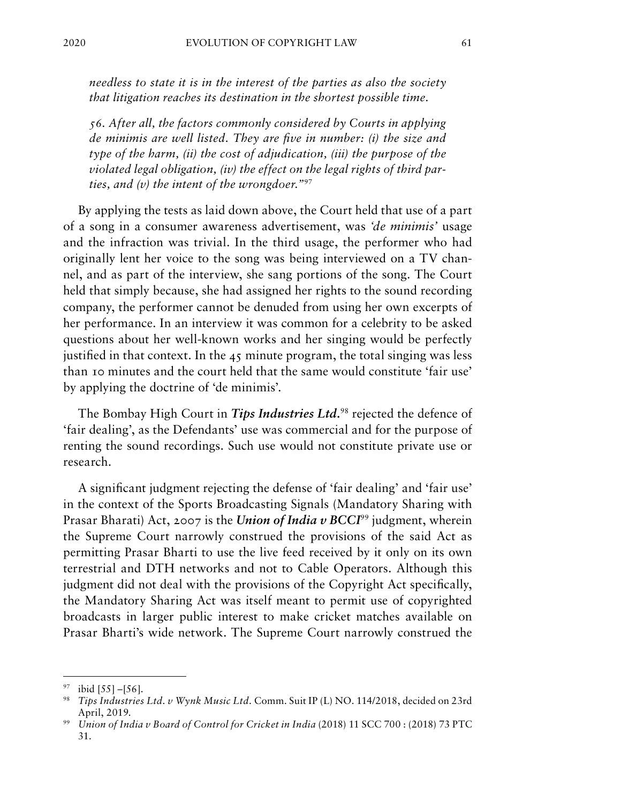*needless to state it is in the interest of the parties as also the society that litigation reaches its destination in the shortest possible time.*

*56. After all, the factors commonly considered by Courts in applying de minimis are well listed. They are five in number: (i) the size and type of the harm, (ii) the cost of adjudication, (iii) the purpose of the violated legal obligation, (iv) the effect on the legal rights of third parties, and (v) the intent of the wrongdoer."*<sup>97</sup>

By applying the tests as laid down above, the Court held that use of a part of a song in a consumer awareness advertisement, was *'de minimis'* usage and the infraction was trivial. In the third usage, the performer who had originally lent her voice to the song was being interviewed on a TV channel, and as part of the interview, she sang portions of the song. The Court held that simply because, she had assigned her rights to the sound recording company, the performer cannot be denuded from using her own excerpts of her performance. In an interview it was common for a celebrity to be asked questions about her well-known works and her singing would be perfectly justified in that context. In the 45 minute program, the total singing was less than 10 minutes and the court held that the same would constitute 'fair use' by applying the doctrine of 'de minimis'.

The Bombay High Court in *Tips Industries Ltd.*98 rejected the defence of 'fair dealing', as the Defendants' use was commercial and for the purpose of renting the sound recordings. Such use would not constitute private use or research.

A significant judgment rejecting the defense of 'fair dealing' and 'fair use' in the context of the Sports Broadcasting Signals (Mandatory Sharing with Prasar Bharati) Act, 2007 is the *Union of India v BCCI*<sup>99</sup> judgment, wherein the Supreme Court narrowly construed the provisions of the said Act as permitting Prasar Bharti to use the live feed received by it only on its own terrestrial and DTH networks and not to Cable Operators. Although this judgment did not deal with the provisions of the Copyright Act specifically, the Mandatory Sharing Act was itself meant to permit use of copyrighted broadcasts in larger public interest to make cricket matches available on Prasar Bharti's wide network. The Supreme Court narrowly construed the

 $97$  ibid [55] –[56].

<sup>98</sup> *Tips Industries Ltd. v Wynk Music Ltd.* Comm. Suit IP (L) NO. 114/2018, decided on 23rd April, 2019.

<sup>99</sup> *Union of India v Board of Control for Cricket in India* (2018) 11 SCC 700 : (2018) 73 PTC 31.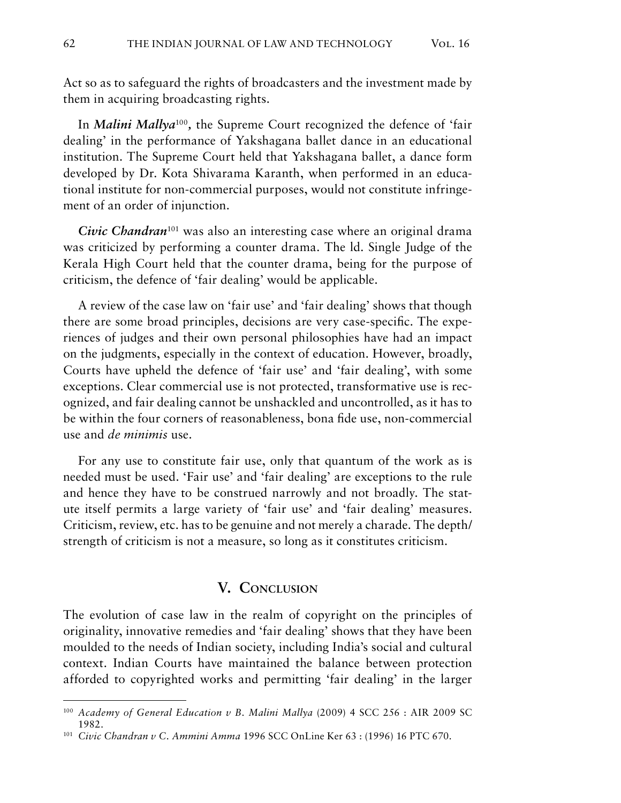Act so as to safeguard the rights of broadcasters and the investment made by them in acquiring broadcasting rights.

In *Malini Mallya*<sup>100</sup>*,* the Supreme Court recognized the defence of 'fair dealing' in the performance of Yakshagana ballet dance in an educational institution. The Supreme Court held that Yakshagana ballet, a dance form developed by Dr. Kota Shivarama Karanth, when performed in an educational institute for non-commercial purposes, would not constitute infringement of an order of injunction.

*Civic Chandran*<sup>101</sup> was also an interesting case where an original drama was criticized by performing a counter drama. The ld. Single Judge of the Kerala High Court held that the counter drama, being for the purpose of criticism, the defence of 'fair dealing' would be applicable.

A review of the case law on 'fair use' and 'fair dealing' shows that though there are some broad principles, decisions are very case-specific. The experiences of judges and their own personal philosophies have had an impact on the judgments, especially in the context of education. However, broadly, Courts have upheld the defence of 'fair use' and 'fair dealing', with some exceptions. Clear commercial use is not protected, transformative use is recognized, and fair dealing cannot be unshackled and uncontrolled, as it has to be within the four corners of reasonableness, bona fide use, non-commercial use and *de minimis* use.

For any use to constitute fair use, only that quantum of the work as is needed must be used. 'Fair use' and 'fair dealing' are exceptions to the rule and hence they have to be construed narrowly and not broadly. The statute itself permits a large variety of 'fair use' and 'fair dealing' measures. Criticism, review, etc. has to be genuine and not merely a charade. The depth/ strength of criticism is not a measure, so long as it constitutes criticism.

#### **V. Conclusion**

The evolution of case law in the realm of copyright on the principles of originality, innovative remedies and 'fair dealing' shows that they have been moulded to the needs of Indian society, including India's social and cultural context. Indian Courts have maintained the balance between protection afforded to copyrighted works and permitting 'fair dealing' in the larger

<sup>100</sup> *Academy of General Education v B. Malini Mallya* (2009) 4 SCC 256 : AIR 2009 SC 1982.

<sup>101</sup> *Civic Chandran v C. Ammini Amma* 1996 SCC OnLine Ker 63 : (1996) 16 PTC 670.